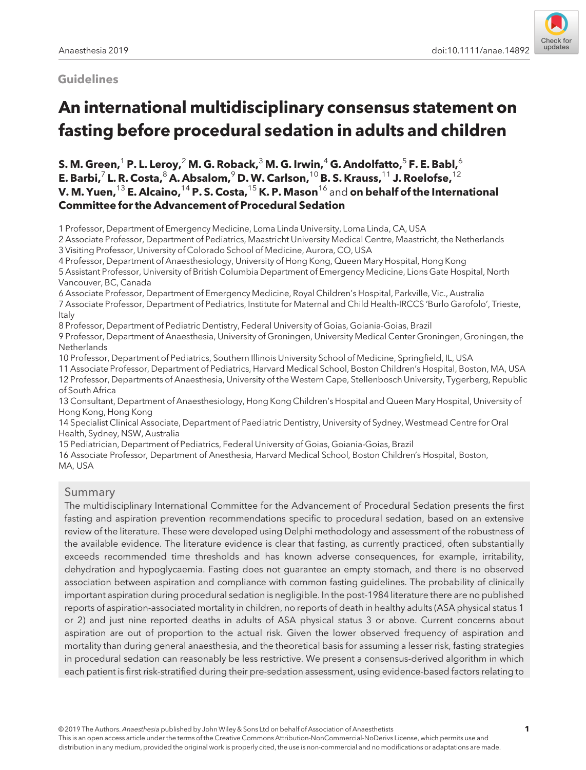# Guidelines



# An international multidisciplinary consensus statement on fasting before procedural sedation in adults and children

S. M. Green,<sup>1</sup> P. L. Leroy,<sup>2</sup> M. G. Roback,<sup>3</sup> M. G. Irwin,<sup>4</sup> G. Andolfatto,<sup>5</sup> F. E. Babl,<sup>6</sup> E. Barbi, $^7$  L. R. Costa, $^8$  A. Absalom, $^9$  D. W. Carlson,  $^{10}$  B. S. Krauss,  $^{11}$  J. Roelofse,  $^{12}$ V. M. Yuen,  $^{13}$  E. Alcaino,  $^{14}$  P. S. Costa,  $^{15}$  K. P. Mason  $^{16}$  and on behalf of the International Committee for the Advancement of Procedural Sedation

1 Professor, Department of Emergency Medicine, Loma Linda University, Loma Linda, CA, USA

2 Associate Professor, Department of Pediatrics, Maastricht University Medical Centre, Maastricht, the Netherlands 3 Visiting Professor, University of Colorado School of Medicine, Aurora, CO, USA

4 Professor, Department of Anaesthesiology, University of Hong Kong, Queen Mary Hospital, Hong Kong

5 Assistant Professor, University of British Columbia Department of Emergency Medicine, Lions Gate Hospital, North Vancouver, BC, Canada

6 Associate Professor, Department of Emergency Medicine, Royal Children's Hospital, Parkville, Vic., Australia

7 Associate Professor, Department of Pediatrics, Institute for Maternal and Child Health-IRCCS 'Burlo Garofolo', Trieste, Italy

8 Professor, Department of Pediatric Dentistry, Federal University of Goias, Goiania-Goias, Brazil

9 Professor, Department of Anaesthesia, University of Groningen, University Medical Center Groningen, Groningen, the **Netherlands** 

10 Professor, Department of Pediatrics, Southern Illinois University School of Medicine, Springfield, IL, USA

11 Associate Professor, Department of Pediatrics, Harvard Medical School, Boston Children's Hospital, Boston, MA, USA 12 Professor, Departments of Anaesthesia, University of the Western Cape, Stellenbosch University, Tygerberg, Republic of South Africa

13 Consultant, Department of Anaesthesiology, Hong Kong Children's Hospital and Queen Mary Hospital, University of Hong Kong, Hong Kong

14 Specialist Clinical Associate, Department of Paediatric Dentistry, University of Sydney, Westmead Centre for Oral Health, Sydney, NSW, Australia

15 Pediatrician, Department of Pediatrics, Federal University of Goias, Goiania-Goias, Brazil

16 Associate Professor, Department of Anesthesia, Harvard Medical School, Boston Children's Hospital, Boston, MA, USA

## Summary

The multidisciplinary International Committee for the Advancement of Procedural Sedation presents the first fasting and aspiration prevention recommendations specific to procedural sedation, based on an extensive review of the literature. These were developed using Delphi methodology and assessment of the robustness of the available evidence. The literature evidence is clear that fasting, as currently practiced, often substantially exceeds recommended time thresholds and has known adverse consequences, for example, irritability, dehydration and hypoglycaemia. Fasting does not guarantee an empty stomach, and there is no observed association between aspiration and compliance with common fasting guidelines. The probability of clinically important aspiration during procedural sedation is negligible. In the post-1984 literature there are no published reports of aspiration-associated mortality in children, no reports of death in healthy adults (ASA physical status 1 or 2) and just nine reported deaths in adults of ASA physical status 3 or above. Current concerns about aspiration are out of proportion to the actual risk. Given the lower observed frequency of aspiration and mortality than during general anaesthesia, and the theoretical basis for assuming a lesser risk, fasting strategies in procedural sedation can reasonably be less restrictive. We present a consensus-derived algorithm in which each patient is first risk-stratified during their pre-sedation assessment, using evidence-based factors relating to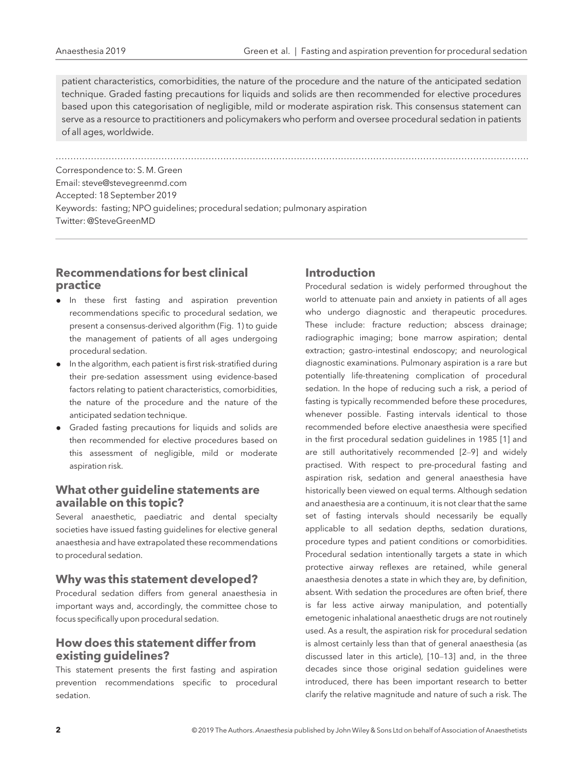patient characteristics, comorbidities, the nature of the procedure and the nature of the anticipated sedation technique. Graded fasting precautions for liquids and solids are then recommended for elective procedures based upon this categorisation of negligible, mild or moderate aspiration risk. This consensus statement can serve as a resource to practitioners and policymakers who perform and oversee procedural sedation in patients of all ages, worldwide.

................................................................................................................................................................. Correspondence to: S. M. Green Email: [steve@stevegreenmd.com](mailto:) Accepted: 18 September 2019 Keywords: fasting; NPO guidelines; procedural sedation; pulmonary aspiration Twitter: @SteveGreenMD

# Recommendations for best clinical practice

- In these first fasting and aspiration prevention recommendations specific to procedural sedation, we present a consensus-derived algorithm (Fig. 1) to guide the management of patients of all ages undergoing procedural sedation.
- In the algorithm, each patient is first risk-stratified during their pre-sedation assessment using evidence-based factors relating to patient characteristics, comorbidities, the nature of the procedure and the nature of the anticipated sedation technique.
- Graded fasting precautions for liquids and solids are then recommended for elective procedures based on this assessment of negligible, mild or moderate aspiration risk.

# What other guideline statements are available on this topic?

Several anaesthetic, paediatric and dental specialty societies have issued fasting guidelines for elective general anaesthesia and have extrapolated these recommendations to procedural sedation.

## Why was this statement developed?

Procedural sedation differs from general anaesthesia in important ways and, accordingly, the committee chose to focus specifically upon procedural sedation.

# How does this statement differ from existing guidelines?

This statement presents the first fasting and aspiration prevention recommendations specific to procedural sedation.

# Introduction

Procedural sedation is widely performed throughout the world to attenuate pain and anxiety in patients of all ages who undergo diagnostic and therapeutic procedures. These include: fracture reduction; abscess drainage; radiographic imaging; bone marrow aspiration; dental extraction; gastro-intestinal endoscopy; and neurological diagnostic examinations. Pulmonary aspiration is a rare but potentially life-threatening complication of procedural sedation. In the hope of reducing such a risk, a period of fasting is typically recommended before these procedures, whenever possible. Fasting intervals identical to those recommended before elective anaesthesia were specified in the first procedural sedation guidelines in 1985 [1] and are still authoritatively recommended [2–9] and widely practised. With respect to pre-procedural fasting and aspiration risk, sedation and general anaesthesia have historically been viewed on equal terms. Although sedation and anaesthesia are a continuum, it is not clear that the same set of fasting intervals should necessarily be equally applicable to all sedation depths, sedation durations, procedure types and patient conditions or comorbidities. Procedural sedation intentionally targets a state in which protective airway reflexes are retained, while general anaesthesia denotes a state in which they are, by definition, absent. With sedation the procedures are often brief, there is far less active airway manipulation, and potentially emetogenic inhalational anaesthetic drugs are not routinely used. As a result, the aspiration risk for procedural sedation is almost certainly less than that of general anaesthesia (as discussed later in this article), [10–13] and, in the three decades since those original sedation guidelines were introduced, there has been important research to better clarify the relative magnitude and nature of such a risk. The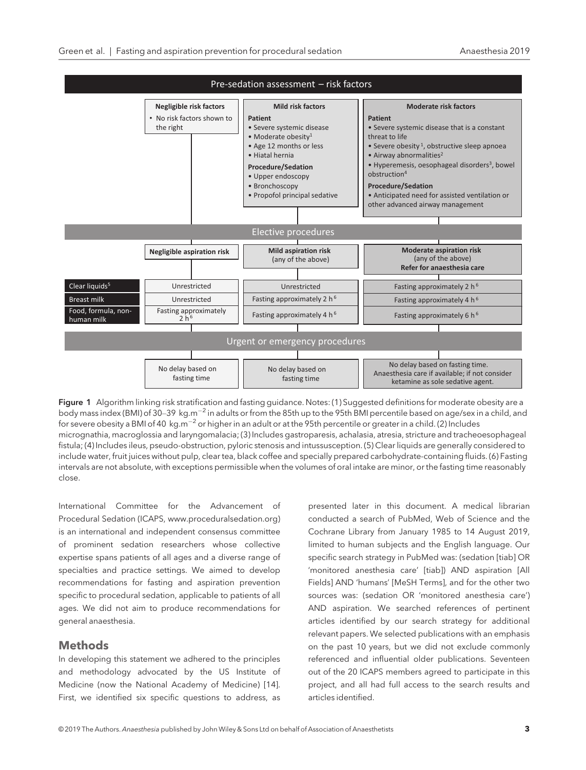

Figure 1 Algorithm linking risk stratification and fasting guidance. Notes: (1) Suggested definitions for moderate obesity are a body mass index (BMI) of 30–39 kg.m<sup>-2</sup> in adults or from the 85th up to the 95th BMI percentile based on age/sex in a child, and for severe obesity a BMI of 40 kg.m<sup>-2</sup> or higher in an adult or at the 95th percentile or greater in a child. (2) Includes micrognathia, macroglossia and laryngomalacia; (3) Includes gastroparesis, achalasia, atresia, stricture and tracheoesophageal fistula; (4) Includes ileus, pseudo-obstruction, pyloric stenosis and intussusception. (5) Clear liquids are generally considered to include water, fruit juices without pulp, clear tea, black coffee and specially prepared carbohydrate-containing fluids. (6) Fasting intervals are not absolute, with exceptions permissible when the volumes of oral intake are minor, or the fasting time reasonably close.

International Committee for the Advancement of Procedural Sedation (ICAPS, [www.proceduralsedation.org](http://www.proceduralsedation.org)) is an international and independent consensus committee of prominent sedation researchers whose collective expertise spans patients of all ages and a diverse range of specialties and practice settings. We aimed to develop recommendations for fasting and aspiration prevention specific to procedural sedation, applicable to patients of all ages. We did not aim to produce recommendations for general anaesthesia.

## **Methods**

In developing this statement we adhered to the principles and methodology advocated by the US Institute of Medicine (now the National Academy of Medicine) [14]. First, we identified six specific questions to address, as

presented later in this document. A medical librarian conducted a search of PubMed, Web of Science and the Cochrane Library from January 1985 to 14 August 2019, limited to human subjects and the English language. Our specific search strategy in PubMed was: (sedation [tiab] OR 'monitored anesthesia care' [tiab]) AND aspiration [All Fields] AND 'humans' [MeSH Terms], and for the other two sources was: (sedation OR 'monitored anesthesia care') AND aspiration. We searched references of pertinent articles identified by our search strategy for additional relevant papers. We selected publications with an emphasis on the past 10 years, but we did not exclude commonly referenced and influential older publications. Seventeen out of the 20 ICAPS members agreed to participate in this project, and all had full access to the search results and articles identified.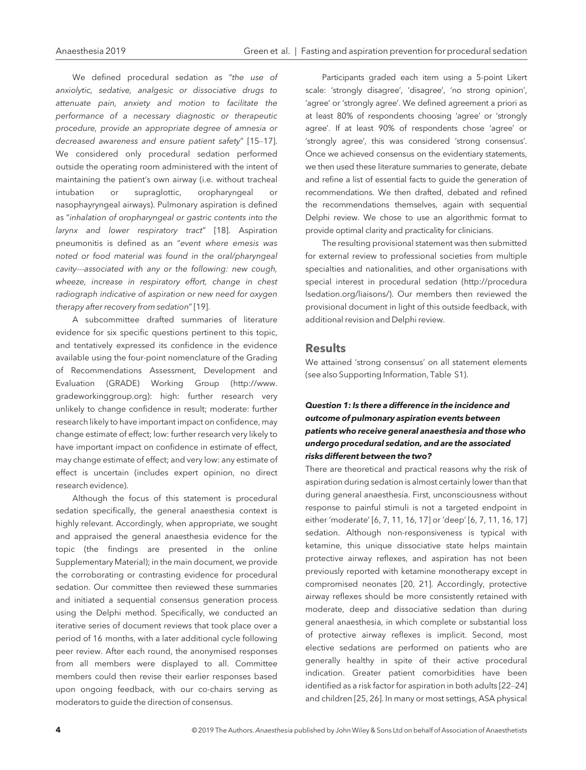We defined procedural sedation as "the use of anxiolytic, sedative, analgesic or dissociative drugs to attenuate pain, anxiety and motion to facilitate the performance of a necessary diagnostic or therapeutic procedure, provide an appropriate degree of amnesia or decreased awareness and ensure patient safety" [15–17]. We considered only procedural sedation performed outside the operating room administered with the intent of maintaining the patient's own airway (i.e. without tracheal intubation or supraglottic, oropharyngeal nasophayryngeal airways). Pulmonary aspiration is defined as "inhalation of oropharyngeal or gastric contents into the larynx and lower respiratory tract" [18]. Aspiration pneumonitis is defined as an "event where emesis was noted or food material was found in the oral/pharyngeal cavity—associated with any or the following: new cough, wheeze, increase in respiratory effort, change in chest radiograph indicative of aspiration or new need for oxygen therapy after recovery from sedation"[19].

A subcommittee drafted summaries of literature evidence for six specific questions pertinent to this topic, and tentatively expressed its confidence in the evidence available using the four-point nomenclature of the Grading of Recommendations Assessment, Development and Evaluation (GRADE) Working Group [\(http://www.](http://www.gradeworkinggroup.org) [gradeworkinggroup.org\)](http://www.gradeworkinggroup.org): high: further research very unlikely to change confidence in result; moderate: further research likely to have important impact on confidence, may change estimate of effect; low: further research very likely to have important impact on confidence in estimate of effect, may change estimate of effect; and very low: any estimate of effect is uncertain (includes expert opinion, no direct research evidence).

Although the focus of this statement is procedural sedation specifically, the general anaesthesia context is highly relevant. Accordingly, when appropriate, we sought and appraised the general anaesthesia evidence for the topic (the findings are presented in the online Supplementary Material); in the main document, we provide the corroborating or contrasting evidence for procedural sedation. Our committee then reviewed these summaries and initiated a sequential consensus generation process using the Delphi method. Specifically, we conducted an iterative series of document reviews that took place over a period of 16 months, with a later additional cycle following peer review. After each round, the anonymised responses from all members were displayed to all. Committee members could then revise their earlier responses based upon ongoing feedback, with our co-chairs serving as moderators to guide the direction of consensus.

Participants graded each item using a 5-point Likert scale: 'strongly disagree', 'disagree', 'no strong opinion', 'agree' or 'strongly agree'. We defined agreement a priori as at least 80% of respondents choosing 'agree' or 'strongly agree'. If at least 90% of respondents chose 'agree' or 'strongly agree', this was considered 'strong consensus'. Once we achieved consensus on the evidentiary statements, we then used these literature summaries to generate, debate and refine a list of essential facts to guide the generation of recommendations. We then drafted, debated and refined the recommendations themselves, again with sequential Delphi review. We chose to use an algorithmic format to provide optimal clarity and practicality for clinicians.

The resulting provisional statement was then submitted for external review to professional societies from multiple specialties and nationalities, and other organisations with special interest in procedural sedation ([http://procedura](http://proceduralsedation.org/liaisons/) [lsedation.org/liaisons/\)](http://proceduralsedation.org/liaisons/). Our members then reviewed the provisional document in light of this outside feedback, with additional revision and Delphi review.

### **Results**

We attained 'strong consensus' on all statement elements (see also Supporting Information, Table S1).

## Question 1: Is there a difference in the incidence and outcome of pulmonary aspiration events between patients who receive general anaesthesia and those who undergo procedural sedation, and are the associated risks different between the two?

There are theoretical and practical reasons why the risk of aspiration during sedation is almost certainly lower than that during general anaesthesia. First, unconsciousness without response to painful stimuli is not a targeted endpoint in either 'moderate' [6, 7, 11, 16, 17] or 'deep' [6, 7, 11, 16, 17] sedation. Although non-responsiveness is typical with ketamine, this unique dissociative state helps maintain protective airway reflexes, and aspiration has not been previously reported with ketamine monotherapy except in compromised neonates [20, 21]. Accordingly, protective airway reflexes should be more consistently retained with moderate, deep and dissociative sedation than during general anaesthesia, in which complete or substantial loss of protective airway reflexes is implicit. Second, most elective sedations are performed on patients who are generally healthy in spite of their active procedural indication. Greater patient comorbidities have been identified as a risk factor for aspiration in both adults [22–24] and children [25, 26]. In many or most settings, ASA physical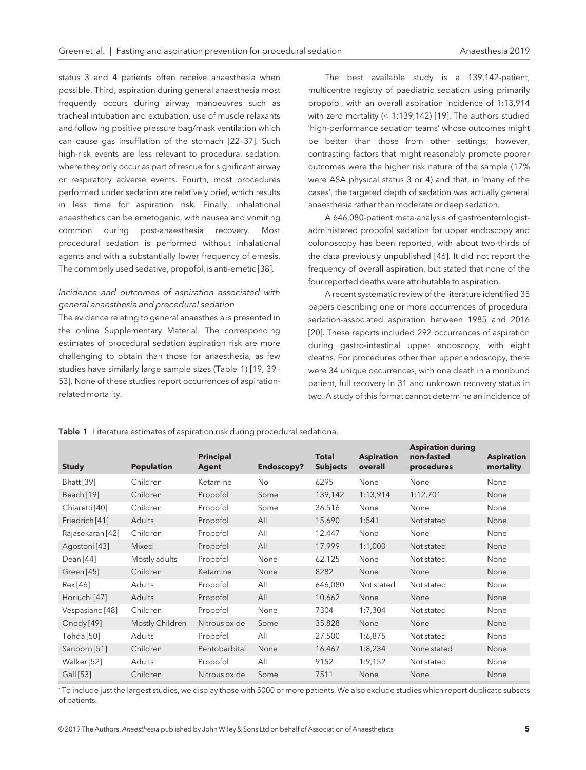status 3 and 4 patients often receive anaesthesia when possible. Third, aspiration during general anaesthesia most frequently occurs during airway manoeuvres such as tracheal intubation and extubation, use of muscle relaxants and following positive pressure bag/mask ventilation which can cause gas insufflation of the stomach [22–37]. Such high-risk events are less relevant to procedural sedation, where they only occur as part of rescue for significant airway or respiratory adverse events. Fourth, most procedures performed under sedation are relatively brief, which results in less time for aspiration risk. Finally, inhalational anaesthetics can be emetogenic, with nausea and vomiting common during post-anaesthesia recovery. Most procedural sedation is performed without inhalational agents and with a substantially lower frequency of emesis. The commonly used sedative, propofol, is anti-emetic [38].

## Incidence and outcomes of aspiration associated with general anaesthesia and procedural sedation

The evidence relating to general anaesthesia is presented in the online Supplementary Material. The corresponding estimates of procedural sedation aspiration risk are more challenging to obtain than those for anaesthesia, as few studies have similarly large sample sizes (Table 1) [19, 39– 53]. None of these studies report occurrences of aspirationrelated mortality.

The best available study is a 139,142-patient, multicentre registry of paediatric sedation using primarily propofol, with an overall aspiration incidence of 1:13,914 with zero mortality (< 1:139,142) [19]. The authors studied 'high-performance sedation teams' whose outcomes might be better than those from other settings; however, contrasting factors that might reasonably promote poorer outcomes were the higher risk nature of the sample (17% were ASA physical status 3 or 4) and that, in 'many of the cases', the targeted depth of sedation was actually general anaesthesia rather than moderate or deep sedation.

A 646,080-patient meta-analysis of gastroenterologistadministered propofol sedation for upper endoscopy and colonoscopy has been reported, with about two-thirds of the data previously unpublished [46]. It did not report the frequency of overall aspiration, but stated that none of the four reported deaths were attributable to aspiration.

A recent systematic review of the literature identified 35 papers describing one or more occurrences of procedural sedation-associated aspiration between 1985 and 2016 [20]. These reports included 292 occurrences of aspiration during gastro-intestinal upper endoscopy, with eight deaths. For procedures other than upper endoscopy, there were 34 unique occurrences, with one death in a moribund patient, full recovery in 31 and unknown recovery status in two. A study of this format cannot determine an incidence of

| <b>Study</b>             | <b>Population</b> | <b>Principal</b><br>Agent | <b>Endoscopy?</b> | <b>Total</b><br><b>Subjects</b> | <b>Aspiration</b><br>overall | <b>Aspiration during</b><br>non-fasted<br>procedures | <b>Aspiration</b><br>mortality |
|--------------------------|-------------------|---------------------------|-------------------|---------------------------------|------------------------------|------------------------------------------------------|--------------------------------|
|                          |                   |                           |                   |                                 |                              |                                                      |                                |
| Bhatt[39]                | Children          | Ketamine                  | <b>No</b>         | 6295                            | None                         | None                                                 | None                           |
| Beach [19]               | Children          | Propofol                  | Some              | 139,142                         | 1:13,914                     | 1:12,701                                             | None                           |
| Chiaretti [40]           | Children          | Propofol                  | Some              | 36,516                          | None                         | None                                                 | None                           |
| Friedrich [41]           | Adults            | Propofol                  | All               | 15,690                          | 1:541                        | Not stated                                           | None                           |
| Rajasekaran [42]         | Children          | Propofol                  | All               | 12,447                          | None                         | None                                                 | None                           |
| Agostoni [43]            | Mixed             | Propofol                  | All               | 17,999                          | 1:1,000                      | Not stated                                           | None                           |
| Dean [44]                | Mostly adults     | Propofol                  | None              | 62,125                          | None                         | Not stated                                           | None                           |
| Green [45]               | Children          | Ketamine                  | None              | 8282                            | None                         | None                                                 | None                           |
| Rex [46]                 | Adults            | Propofol                  | All               | 646,080                         | Not stated                   | Not stated                                           | None                           |
| Horiuchi <sup>[47]</sup> | Adults            | Propofol                  | All               | 10,662                          | None                         | None                                                 | None                           |
| Vespasiano [48]          | Children          | Propofol                  | None              | 7304                            | 1:7,304                      | Not stated                                           | None                           |
| Onody [49]               | Mostly Children   | Nitrous oxide             | Some              | 35,828                          | None                         | None                                                 | None                           |
| Tohda [50]               | Adults            | Propofol                  | All               | 27,500                          | 1:6,875                      | Not stated                                           | None                           |
| Sanborn [51]             | Children          | Pentobarbital             | None              | 16,467                          | 1:8,234                      | None stated                                          | None                           |
| Walker [52]              | Adults            | Propofol                  | All               | 9152                            | 1:9,152                      | Not stated                                           | None                           |
| Gall [53]                | Children          | Nitrous oxide             | Some              | 7511                            | None                         | None                                                 | None                           |

Table 1 Literature estimates of aspiration risk during procedural sedationa.

<sup>a</sup>To include just the largest studies, we display those with 5000 or more patients. We also exclude studies which report duplicate subsets of patients.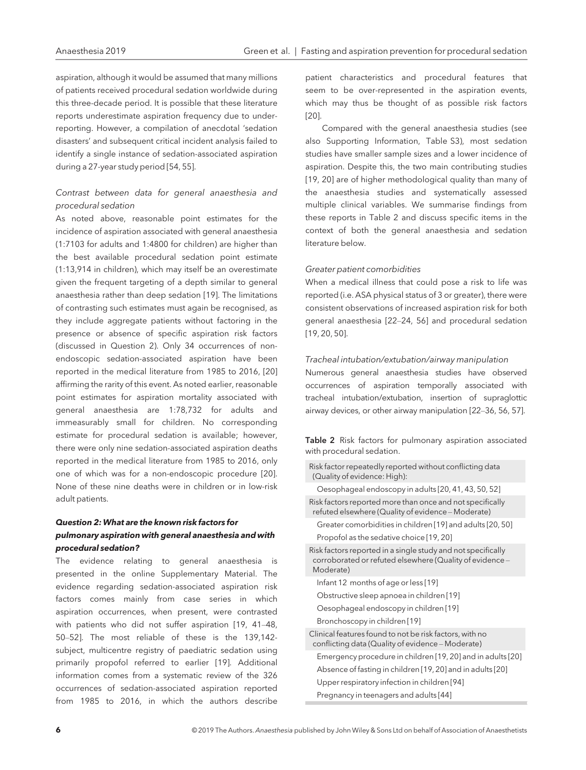aspiration, although it would be assumed that many millions of patients received procedural sedation worldwide during this three-decade period. It is possible that these literature reports underestimate aspiration frequency due to underreporting. However, a compilation of anecdotal 'sedation disasters' and subsequent critical incident analysis failed to identify a single instance of sedation-associated aspiration during a 27-year study period [54, 55].

## Contrast between data for general anaesthesia and procedural sedation

As noted above, reasonable point estimates for the incidence of aspiration associated with general anaesthesia (1:7103 for adults and 1:4800 for children) are higher than the best available procedural sedation point estimate (1:13,914 in children), which may itself be an overestimate given the frequent targeting of a depth similar to general anaesthesia rather than deep sedation [19]. The limitations of contrasting such estimates must again be recognised, as they include aggregate patients without factoring in the presence or absence of specific aspiration risk factors (discussed in Question 2). Only 34 occurrences of nonendoscopic sedation-associated aspiration have been reported in the medical literature from 1985 to 2016, [20] affirming the rarity of this event. As noted earlier, reasonable point estimates for aspiration mortality associated with general anaesthesia are 1:78,732 for adults and immeasurably small for children. No corresponding estimate for procedural sedation is available; however, there were only nine sedation-associated aspiration deaths reported in the medical literature from 1985 to 2016, only one of which was for a non-endoscopic procedure [20]. None of these nine deaths were in children or in low-risk adult patients.

## Question 2: What are the known risk factors for pulmonary aspiration with general anaesthesia and with procedural sedation?

The evidence relating to general anaesthesia is presented in the online Supplementary Material. The evidence regarding sedation-associated aspiration risk factors comes mainly from case series in which aspiration occurrences, when present, were contrasted with patients who did not suffer aspiration [19, 41–48, 50–52]. The most reliable of these is the 139,142 subject, multicentre registry of paediatric sedation using primarily propofol referred to earlier [19]. Additional information comes from a systematic review of the 326 occurrences of sedation-associated aspiration reported from 1985 to 2016, in which the authors describe

patient characteristics and procedural features that seem to be over-represented in the aspiration events, which may thus be thought of as possible risk factors [20].

Compared with the general anaesthesia studies (see also Supporting Information, Table S3), most sedation studies have smaller sample sizes and a lower incidence of aspiration. Despite this, the two main contributing studies [19, 20] are of higher methodological quality than many of the anaesthesia studies and systematically assessed multiple clinical variables. We summarise findings from these reports in Table 2 and discuss specific items in the context of both the general anaesthesia and sedation literature below.

#### Greater patient comorbidities

When a medical illness that could pose a risk to life was reported (i.e. ASA physical status of 3 or greater), there were consistent observations of increased aspiration risk for both general anaesthesia [22–24, 56] and procedural sedation [19, 20, 50].

#### Tracheal intubation/extubation/airway manipulation

Numerous general anaesthesia studies have observed occurrences of aspiration temporally associated with tracheal intubation/extubation, insertion of supraglottic airway devices, or other airway manipulation [22–36, 56, 57].

Table 2 Risk factors for pulmonary aspiration associated with procedural sedation.

| Risk factor repeatedly reported without conflicting data<br>(Quality of evidence: High):                                              |
|---------------------------------------------------------------------------------------------------------------------------------------|
| Oesophageal endoscopy in adults [20, 41, 43, 50, 52]                                                                                  |
| Risk factors reported more than once and not specifically<br>refuted elsewhere (Quality of evidence - Moderate)                       |
| Greater comorbidities in children [19] and adults [20, 50]                                                                            |
| Propofol as the sedative choice [19, 20]                                                                                              |
| Risk factors reported in a single study and not specifically<br>corroborated or refuted elsewhere (Quality of evidence -<br>Moderate) |
| Infant 12 months of age or less [19]                                                                                                  |
| Obstructive sleep apnoea in children [19]                                                                                             |
| Oesophageal endoscopy in children [19]                                                                                                |
| Bronchoscopy in children [19]                                                                                                         |
| Clinical features found to not be risk factors, with no<br>conflicting data (Quality of evidence - Moderate)                          |
| Emergency procedure in children [19, 20] and in adults [20]                                                                           |
| Absence of fasting in children [19, 20] and in adults [20]                                                                            |
| Upper respiratory infection in children [94]                                                                                          |
| Pregnancy in teenagers and adults [44]                                                                                                |
|                                                                                                                                       |

 $\bar{a}$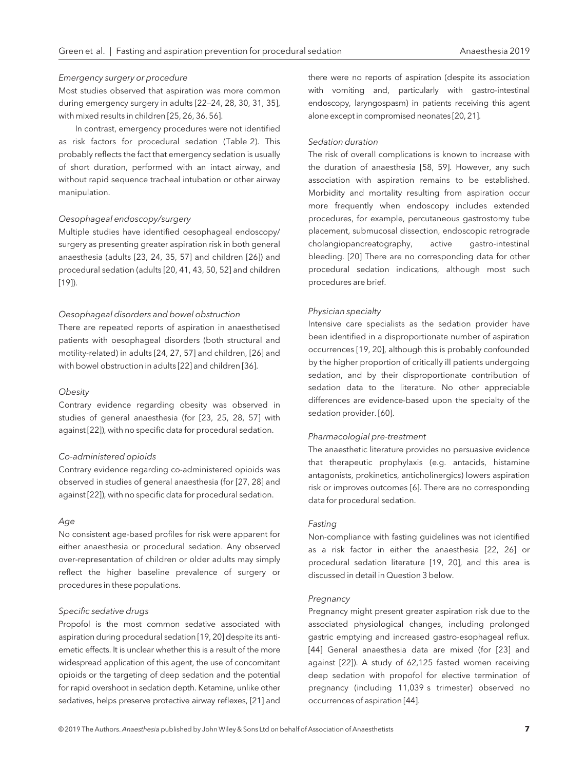#### Emergency surgery or procedure

Most studies observed that aspiration was more common during emergency surgery in adults [22–24, 28, 30, 31, 35], with mixed results in children [25, 26, 36, 56].

In contrast, emergency procedures were not identified as risk factors for procedural sedation (Table 2). This probably reflects the fact that emergency sedation is usually of short duration, performed with an intact airway, and without rapid sequence tracheal intubation or other airway manipulation.

#### Oesophageal endoscopy/surgery

Multiple studies have identified oesophageal endoscopy/ surgery as presenting greater aspiration risk in both general anaesthesia (adults [23, 24, 35, 57] and children [26]) and procedural sedation (adults [20, 41, 43, 50, 52] and children [19]).

#### Oesophageal disorders and bowel obstruction

There are repeated reports of aspiration in anaesthetised patients with oesophageal disorders (both structural and motility-related) in adults [24, 27, 57] and children, [26] and with bowel obstruction in adults [22] and children [36].

#### **Obesity**

Contrary evidence regarding obesity was observed in studies of general anaesthesia (for [23, 25, 28, 57] with against [22]), with no specific data for procedural sedation.

#### Co-administered opioids

Contrary evidence regarding co-administered opioids was observed in studies of general anaesthesia (for [27, 28] and against [22]), with no specific data for procedural sedation.

#### Age

No consistent age-based profiles for risk were apparent for either anaesthesia or procedural sedation. Any observed over-representation of children or older adults may simply reflect the higher baseline prevalence of surgery or procedures in these populations.

#### Specific sedative drugs

Propofol is the most common sedative associated with aspiration during procedural sedation [19, 20] despite its antiemetic effects. It is unclear whether this is a result of the more widespread application of this agent, the use of concomitant opioids or the targeting of deep sedation and the potential for rapid overshoot in sedation depth. Ketamine, unlike other sedatives, helps preserve protective airway reflexes, [21] and

there were no reports of aspiration (despite its association with vomiting and, particularly with gastro-intestinal endoscopy, laryngospasm) in patients receiving this agent alone except in compromised neonates [20, 21].

#### Sedation duration

The risk of overall complications is known to increase with the duration of anaesthesia [58, 59]. However, any such association with aspiration remains to be established. Morbidity and mortality resulting from aspiration occur more frequently when endoscopy includes extended procedures, for example, percutaneous gastrostomy tube placement, submucosal dissection, endoscopic retrograde cholangiopancreatography, active gastro-intestinal bleeding. [20] There are no corresponding data for other procedural sedation indications, although most such procedures are brief.

#### Physician specialty

Intensive care specialists as the sedation provider have been identified in a disproportionate number of aspiration occurrences [19, 20], although this is probably confounded by the higher proportion of critically ill patients undergoing sedation, and by their disproportionate contribution of sedation data to the literature. No other appreciable differences are evidence-based upon the specialty of the sedation provider. [60].

#### Pharmacologial pre-treatment

The anaesthetic literature provides no persuasive evidence that therapeutic prophylaxis (e.g. antacids, histamine antagonists, prokinetics, anticholinergics) lowers aspiration risk or improves outcomes [6]. There are no corresponding data for procedural sedation.

#### Fasting

Non-compliance with fasting guidelines was not identified as a risk factor in either the anaesthesia [22, 26] or procedural sedation literature [19, 20], and this area is discussed in detail in Question 3 below.

#### Pregnancy

Pregnancy might present greater aspiration risk due to the associated physiological changes, including prolonged gastric emptying and increased gastro-esophageal reflux. [44] General anaesthesia data are mixed (for [23] and against [22]). A study of 62,125 fasted women receiving deep sedation with propofol for elective termination of pregnancy (including 11,039 s trimester) observed no occurrences of aspiration [44].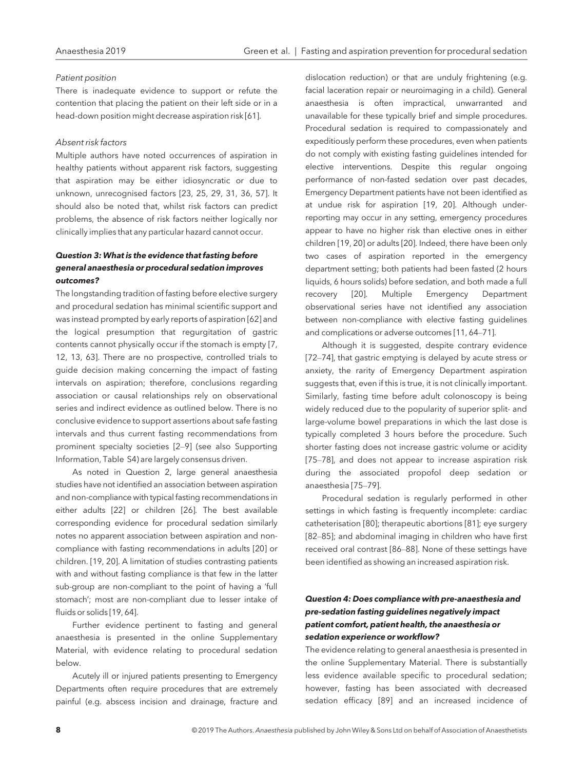#### Patient position

There is inadequate evidence to support or refute the contention that placing the patient on their left side or in a head-down position might decrease aspiration risk [61].

#### Absent risk factors

Multiple authors have noted occurrences of aspiration in healthy patients without apparent risk factors, suggesting that aspiration may be either idiosyncratic or due to unknown, unrecognised factors [23, 25, 29, 31, 36, 57]. It should also be noted that, whilst risk factors can predict problems, the absence of risk factors neither logically nor clinically implies that any particular hazard cannot occur.

## Question 3: What is the evidence that fasting before general anaesthesia or procedural sedation improves outcomes?

The longstanding tradition of fasting before elective surgery and procedural sedation has minimal scientific support and was instead prompted by early reports of aspiration [62] and the logical presumption that regurgitation of gastric contents cannot physically occur if the stomach is empty [7, 12, 13, 63]. There are no prospective, controlled trials to guide decision making concerning the impact of fasting intervals on aspiration; therefore, conclusions regarding association or causal relationships rely on observational series and indirect evidence as outlined below. There is no conclusive evidence to support assertions about safe fasting intervals and thus current fasting recommendations from prominent specialty societies [2–9] (see also Supporting Information, Table S4) are largely consensus driven.

As noted in Question 2, large general anaesthesia studies have not identified an association between aspiration and non-compliance with typical fasting recommendations in either adults [22] or children [26]. The best available corresponding evidence for procedural sedation similarly notes no apparent association between aspiration and noncompliance with fasting recommendations in adults [20] or children. [19, 20]. A limitation of studies contrasting patients with and without fasting compliance is that few in the latter sub-group are non-compliant to the point of having a 'full stomach'; most are non-compliant due to lesser intake of fluids or solids [19, 64].

Further evidence pertinent to fasting and general anaesthesia is presented in the online Supplementary Material, with evidence relating to procedural sedation below.

Acutely ill or injured patients presenting to Emergency Departments often require procedures that are extremely painful (e.g. abscess incision and drainage, fracture and dislocation reduction) or that are unduly frightening (e.g. facial laceration repair or neuroimaging in a child). General anaesthesia is often impractical, unwarranted and unavailable for these typically brief and simple procedures. Procedural sedation is required to compassionately and expeditiously perform these procedures, even when patients do not comply with existing fasting guidelines intended for elective interventions. Despite this regular ongoing performance of non-fasted sedation over past decades, Emergency Department patients have not been identified as at undue risk for aspiration [19, 20]. Although underreporting may occur in any setting, emergency procedures appear to have no higher risk than elective ones in either children [19, 20] or adults [20]. Indeed, there have been only two cases of aspiration reported in the emergency department setting; both patients had been fasted (2 hours liquids, 6 hours solids) before sedation, and both made a full recovery [20]. Multiple Emergency Department observational series have not identified any association between non-compliance with elective fasting guidelines and complications or adverse outcomes [11, 64–71].

Although it is suggested, despite contrary evidence [72–74], that gastric emptying is delayed by acute stress or anxiety, the rarity of Emergency Department aspiration suggests that, even if this is true, it is not clinically important. Similarly, fasting time before adult colonoscopy is being widely reduced due to the popularity of superior split- and large-volume bowel preparations in which the last dose is typically completed 3 hours before the procedure. Such shorter fasting does not increase gastric volume or acidity [75–78], and does not appear to increase aspiration risk during the associated propofol deep sedation or anaesthesia [75–79].

Procedural sedation is regularly performed in other settings in which fasting is frequently incomplete: cardiac catheterisation [80]; therapeutic abortions [81]; eye surgery [82–85]; and abdominal imaging in children who have first received oral contrast [86–88]. None of these settings have been identified as showing an increased aspiration risk.

## Question 4: Does compliance with pre-anaesthesia and pre-sedation fasting guidelines negatively impact patient comfort, patient health, the anaesthesia or sedation experience or workflow?

The evidence relating to general anaesthesia is presented in the online Supplementary Material. There is substantially less evidence available specific to procedural sedation; however, fasting has been associated with decreased sedation efficacy [89] and an increased incidence of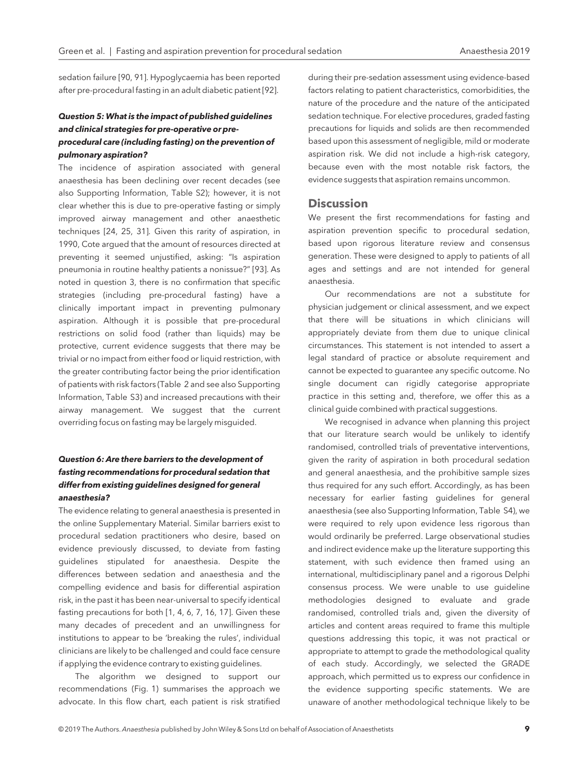sedation failure [90, 91]. Hypoglycaemia has been reported after pre-procedural fasting in an adult diabetic patient [92].

## Question 5: What is the impact of published guidelines and clinical strategies for pre-operative or preprocedural care (including fasting) on the prevention of pulmonary aspiration?

The incidence of aspiration associated with general anaesthesia has been declining over recent decades (see also Supporting Information, Table S2); however, it is not clear whether this is due to pre-operative fasting or simply improved airway management and other anaesthetic techniques [24, 25, 31]. Given this rarity of aspiration, in 1990, Cote argued that the amount of resources directed at preventing it seemed unjustified, asking: "Is aspiration pneumonia in routine healthy patients a nonissue?" [93]. As noted in question 3, there is no confirmation that specific strategies (including pre-procedural fasting) have a clinically important impact in preventing pulmonary aspiration. Although it is possible that pre-procedural restrictions on solid food (rather than liquids) may be protective, current evidence suggests that there may be trivial or no impact from either food or liquid restriction, with the greater contributing factor being the prior identification of patients with risk factors (Table 2 and see also Supporting Information, Table S3) and increased precautions with their airway management. We suggest that the current overriding focus on fasting may be largely misguided.

## Question 6: Are there barriers to the development of fasting recommendations for procedural sedation that differ from existing guidelines designed for general anaesthesia?

The evidence relating to general anaesthesia is presented in the online Supplementary Material. Similar barriers exist to procedural sedation practitioners who desire, based on evidence previously discussed, to deviate from fasting guidelines stipulated for anaesthesia. Despite the differences between sedation and anaesthesia and the compelling evidence and basis for differential aspiration risk, in the past it has been near-universal to specify identical fasting precautions for both [1, 4, 6, 7, 16, 17]. Given these many decades of precedent and an unwillingness for institutions to appear to be 'breaking the rules', individual clinicians are likely to be challenged and could face censure if applying the evidence contrary to existing guidelines.

The algorithm we designed to support our recommendations (Fig. 1) summarises the approach we advocate. In this flow chart, each patient is risk stratified during their pre-sedation assessment using evidence-based factors relating to patient characteristics, comorbidities, the nature of the procedure and the nature of the anticipated sedation technique. For elective procedures, graded fasting precautions for liquids and solids are then recommended based upon this assessment of negligible, mild or moderate aspiration risk. We did not include a high-risk category, because even with the most notable risk factors, the evidence suggests that aspiration remains uncommon.

## **Discussion**

We present the first recommendations for fasting and aspiration prevention specific to procedural sedation, based upon rigorous literature review and consensus generation. These were designed to apply to patients of all ages and settings and are not intended for general anaesthesia.

Our recommendations are not a substitute for physician judgement or clinical assessment, and we expect that there will be situations in which clinicians will appropriately deviate from them due to unique clinical circumstances. This statement is not intended to assert a legal standard of practice or absolute requirement and cannot be expected to guarantee any specific outcome. No single document can rigidly categorise appropriate practice in this setting and, therefore, we offer this as a clinical guide combined with practical suggestions.

We recognised in advance when planning this project that our literature search would be unlikely to identify randomised, controlled trials of preventative interventions, given the rarity of aspiration in both procedural sedation and general anaesthesia, and the prohibitive sample sizes thus required for any such effort. Accordingly, as has been necessary for earlier fasting guidelines for general anaesthesia (see also Supporting Information, Table S4), we were required to rely upon evidence less rigorous than would ordinarily be preferred. Large observational studies and indirect evidence make up the literature supporting this statement, with such evidence then framed using an international, multidisciplinary panel and a rigorous Delphi consensus process. We were unable to use guideline methodologies designed to evaluate and grade randomised, controlled trials and, given the diversity of articles and content areas required to frame this multiple questions addressing this topic, it was not practical or appropriate to attempt to grade the methodological quality of each study. Accordingly, we selected the GRADE approach, which permitted us to express our confidence in the evidence supporting specific statements. We are unaware of another methodological technique likely to be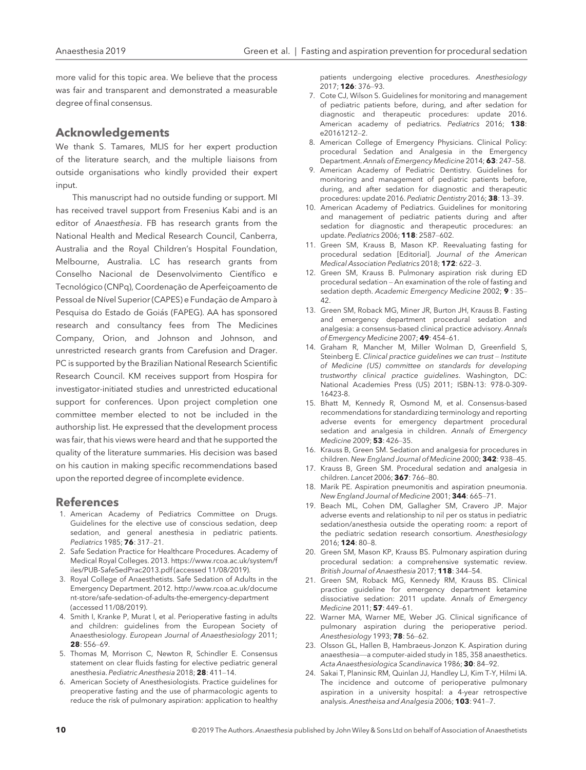more valid for this topic area. We believe that the process was fair and transparent and demonstrated a measurable degree of final consensus.

## Acknowledgements

We thank S. Tamares, MLIS for her expert production of the literature search, and the multiple liaisons from outside organisations who kindly provided their expert input.

This manuscript had no outside funding or support. MI has received travel support from Fresenius Kabi and is an editor of Anaesthesia. FB has research grants from the National Health and Medical Research Council, Canberra, Australia and the Royal Children's Hospital Foundation, Melbourne, Australia. LC has research grants from Conselho Nacional de Desenvolvimento Científico e Tecnológico (CNPq), Coordenação de Aperfeicoamento de Pessoal de Nível Superior (CAPES) e Fundação de Amparo à Pesquisa do Estado de Goiás (FAPEG). AA has sponsored research and consultancy fees from The Medicines Company, Orion, and Johnson and Johnson, and unrestricted research grants from Carefusion and Drager. PC is supported by the Brazilian National Research Scientific Research Council. KM receives support from Hospira for investigator-initiated studies and unrestricted educational support for conferences. Upon project completion one committee member elected to not be included in the authorship list. He expressed that the development process was fair, that his views were heard and that he supported the quality of the literature summaries. His decision was based on his caution in making specific recommendations based upon the reported degree of incomplete evidence.

## References

- 1. American Academy of Pediatrics Committee on Drugs. Guidelines for the elective use of conscious sedation, deep sedation, and general anesthesia in pediatric patients. Pediatrics 1985; **76**: 317-21.
- 2. Safe Sedation Practice for Healthcare Procedures. Academy of Medical Royal Colleges. 2013. [https://www.rcoa.ac.uk/system/f](https://www.rcoa.ac.uk/system/files/PUB-SafeSedPrac2013.pdf) [iles/PUB-SafeSedPrac2013.pdf](https://www.rcoa.ac.uk/system/files/PUB-SafeSedPrac2013.pdf) (accessed 11/08/2019).
- 3. Royal College of Anaesthetists. Safe Sedation of Adults in the Emergency Department. 2012. [http://www.rcoa.ac.uk/docume](http://www.rcoa.ac.uk/document-store/safe-sedation-of-adults-the-emergency-department) [nt-store/safe-sedation-of-adults-the-emergency-department](http://www.rcoa.ac.uk/document-store/safe-sedation-of-adults-the-emergency-department) (accessed 11/08/2019).
- 4. Smith I, Kranke P, Murat I, et al. Perioperative fasting in adults and children: guidelines from the European Society of Anaesthesiology. European Journal of Anaesthesiology 2011;  $28.556-69$
- 5. Thomas M, Morrison C, Newton R, Schindler E. Consensus statement on clear fluids fasting for elective pediatric general anesthesia. Pediatric Anesthesia 2018; 28: 411–14.
- 6. American Society of Anesthesiologists. Practice guidelines for preoperative fasting and the use of pharmacologic agents to reduce the risk of pulmonary aspiration: application to healthy

patients undergoing elective procedures. Anesthesiology 2017; 126: 376–93.

- 7. Cote CJ, Wilson S. Guidelines for monitoring and management of pediatric patients before, during, and after sedation for diagnostic and therapeutic procedures: update 2016. American academy of pediatrics. Pediatrics 2016; 138: e20161212–2.
- 8. American College of Emergency Physicians. Clinical Policy: procedural Sedation and Analgesia in the Emergency Department. Annals of Emergency Medicine 2014; 63: 247–58.
- 9. American Academy of Pediatric Dentistry. Guidelines for monitoring and management of pediatric patients before, during, and after sedation for diagnostic and therapeutic procedures: update 2016. Pediatric Dentistry 2016; 38: 13–39.
- 10. American Academy of Pediatrics. Guidelines for monitoring and management of pediatric patients during and after sedation for diagnostic and therapeutic procedures: an update. Pediatrics 2006; 118: 2587–602.
- 11. Green SM, Krauss B, Mason KP. Reevaluating fasting for procedural sedation [Editorial]. Journal of the American Medical Association Pediatrics 2018; 172: 622–3.
- 12. Green SM, Krauss B. Pulmonary aspiration risk during ED procedural sedation – An examination of the role of fasting and sedation depth. Academic Emergency Medicine 2002; 9 : 35– 42.
- 13. Green SM, Roback MG, Miner JR, Burton JH, Krauss B. Fasting and emergency department procedural sedation and analgesia: a consensus-based clinical practice advisory. Annals of Emergency Medicine 2007; 49: 454–61.
- 14. Graham R, Mancher M, Miller Wolman D, Greenfield S, Steinberg E. Clinical practice guidelines we can trust – Institute of Medicine (US) committee on standards for developing trustworthy clinical practice guidelines. Washington, DC: National Academies Press (US) 2011; ISBN-13: 978-0-309- 16423-8.
- 15. Bhatt M, Kennedy R, Osmond M, et al. Consensus-based recommendations for standardizing terminology and reporting adverse events for emergency department procedural sedation and analgesia in children. Annals of Emergency Medicine 2009; 53: 426–35.
- 16. Krauss B, Green SM. Sedation and analgesia for procedures in children. New England Journal of Medicine 2000; 342: 938–45.
- 17. Krauss B, Green SM. Procedural sedation and analgesia in children. Lancet 2006; 367: 766–80.
- 18. Marik PE. Aspiration pneumonitis and aspiration pneumonia. New England Journal of Medicine 2001; 344: 665–71.
- 19. Beach ML, Cohen DM, Gallagher SM, Cravero JP. Major adverse events and relationship to nil per os status in pediatric sedation/anesthesia outside the operating room: a report of the pediatric sedation research consortium. Anesthesiology 2016; 124: 80–8.
- 20. Green SM, Mason KP, Krauss BS. Pulmonary aspiration during procedural sedation: a comprehensive systematic review. British Journal of Anaesthesia 2017; 118: 344–54.
- 21. Green SM, Roback MG, Kennedy RM, Krauss BS. Clinical practice guideline for emergency department ketamine dissociative sedation: 2011 update. Annals of Emergency Medicine 2011; 57: 449–61.
- 22. Warner MA, Warner ME, Weber JG. Clinical significance of pulmonary aspiration during the perioperative period. Anesthesiology 1993; 78: 56–62.
- 23. Olsson GL, Hallen B, Hambraeus-Jonzon K. Aspiration during anaesthesia—a computer-aided study in 185, 358 anaesthetics. Acta Anaesthesiologica Scandinavica 1986; 30: 84–92.
- 24. Sakai T, Planinsic RM, Quinlan JJ, Handley LJ, Kim T-Y, Hilmi IA. The incidence and outcome of perioperative pulmonary aspiration in a university hospital: a 4-year retrospective analysis. Anestheisa and Analgesia 2006; 103: 941–7.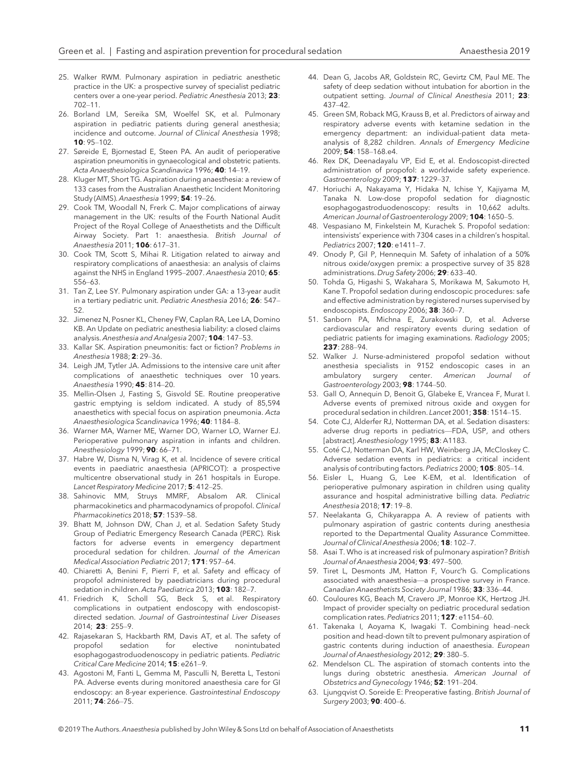- 25. Walker RWM. Pulmonary aspiration in pediatric anesthetic practice in the UK: a prospective survey of specialist pediatric centers over a one-year period. Pediatric Anesthesia 2013; 23: 702–11.
- 26. Borland LM, Sereika SM, Woelfel SK, et al. Pulmonary aspiration in pediatric patients during general anesthesia; incidence and outcome. Journal of Clinical Anesthesia 1998; 10: 95–102.
- 27. Søreide E, Bjornestad E, Steen PA. An audit of perioperative aspiration pneumonitis in gynaecological and obstetric patients. Acta Anaesthesiologica Scandinavica 1996; 40: 14–19.
- 28. Kluger MT, Short TG. Aspiration during anaesthesia: a review of 133 cases from the Australian Anaesthetic Incident Monitoring Study (AIMS). Anaesthesia 1999; 54: 19–26.
- 29. Cook TM, Woodall N, Frerk C. Major complications of airway management in the UK: results of the Fourth National Audit Project of the Royal College of Anaesthetists and the Difficult Airway Society. Part 1: anaesthesia. British Journal of Anaesthesia 2011; 106: 617–31.
- 30. Cook TM, Scott S, Mihai R. Litigation related to airway and respiratory complications of anaesthesia: an analysis of claims against the NHS in England 1995–2007. Anaesthesia 2010; 65: 556–63.
- 31. Tan Z, Lee SY. Pulmonary aspiration under GA: a 13-year audit in a tertiary pediatric unit. Pediatric Anesthesia 2016; 26: 547– 52.
- 32. Jimenez N, Posner KL, Cheney FW, Caplan RA, Lee LA, Domino KB. An Update on pediatric anesthesia liability: a closed claims analysis. Anesthesia and Analgesia 2007; 104: 147-53.
- 33. Kallar SK. Aspiration pneumonitis: fact or fiction? Problems in Anesthesia 1988; 2: 29–36.
- 34. Leigh JM, Tytler JA. Admissions to the intensive care unit after complications of anaesthetic techniques over 10 years. Anaesthesia 1990; 45: 814–20.
- 35. Mellin-Olsen J, Fasting S, Gisvold SE. Routine preoperative gastric emptying is seldom indicated. A study of 85,594 anaesthetics with special focus on aspiration pneumonia. Acta Anaesthesiologica Scandinavica 1996; 40: 1184–8.
- 36. Warner MA, Warner ME, Warner DO, Warner LO, Warner EJ. Perioperative pulmonary aspiration in infants and children. Anesthesiology 1999; 90: 66–71.
- 37. Habre W, Disma N, Virag K, et al. Incidence of severe critical events in paediatric anaesthesia (APRICOT): a prospective multicentre observational study in 261 hospitals in Europe. Lancet Respiratory Medicine 2017; 5: 412-25.
- 38. Sahinovic MM, Struys MMRF, Absalom AR. Clinical pharmacokinetics and pharmacodynamics of propofol. Clinical Pharmacokinetics 2018; 57: 1539–58.
- 39. Bhatt M, Johnson DW, Chan J, et al. Sedation Safety Study Group of Pediatric Emergency Research Canada (PERC). Risk factors for adverse events in emergency department procedural sedation for children. Journal of the American Medical Association Pediatric 2017; 171: 957–64.
- 40. Chiaretti A, Benini F, Pierri F, et al. Safety and efficacy of propofol administered by paediatricians during procedural sedation in children. Acta Paediatrica 2013; 103: 182-7.
- 41. Friedrich K, Scholl SG, Beck S, et al. Respiratory complications in outpatient endoscopy with endoscopistdirected sedation. Journal of Gastrointestinal Liver Diseases 2014; 23: 255–9.
- 42. Rajasekaran S, Hackbarth RM, Davis AT, et al. The safety of propofol sedation for elective nonintubated esophagogastroduodenoscopy in pediatric patients. Pediatric Critical Care Medicine 2014; 15: e261–9.
- 43. Agostoni M, Fanti L, Gemma M, Pasculli N, Beretta L, Testoni PA. Adverse events during monitored anaesthesia care for GI endoscopy: an 8-year experience. Gastrointestinal Endoscopy 2011; 74: 266–75.
- 44. Dean G, Jacobs AR, Goldstein RC, Gevirtz CM, Paul ME. The safety of deep sedation without intubation for abortion in the outpatient setting. Journal of Clinical Anesthesia 2011: 23: 437–42.
- 45. Green SM, Roback MG, Krauss B, et al. Predictors of airway and respiratory adverse events with ketamine sedation in the emergency department: an individual-patient data metaanalysis of 8,282 children. Annals of Emergency Medicine 2009; 54: 158–168.e4.
- 46. Rex DK, Deenadayalu VP, Eid E, et al. Endoscopist-directed administration of propofol: a worldwide safety experience. Gastroenterology 2009; 137: 1229–37.
- 47. Horiuchi A, Nakayama Y, Hidaka N, Ichise Y, Kajiyama M, Tanaka N. Low-dose propofol sedation for diagnostic esophagogastroduodenoscopy: results in 10,662 adults. American Journal of Gastroenterology 2009; 104: 1650–5.
- 48. Vespasiano M, Finkelstein M, Kurachek S. Propofol sedation: intensivists' experience with 7304 cases in a children's hospital. Pediatrics 2007; 120: e1411–7.
- 49. Onody P, Gil P, Hennequin M. Safety of inhalation of a 50% nitrous oxide/oxygen premix: a prospective survey of 35 828 administrations. Drug Safety 2006; 29: 633-40.
- 50. Tohda G, Higashi S, Wakahara S, Morikawa M, Sakumoto H, Kane T. Propofol sedation during endoscopic procedures: safe and effective administration by registered nurses supervised by endoscopists. Endoscopy 2006; 38: 360-7.
- 51. Sanborn PA, Michna E, Zurakowski D, et al. Adverse cardiovascular and respiratory events during sedation of pediatric patients for imaging examinations. Radiology 2005; 237: 288–94.
- 52. Walker J. Nurse-administered propofol sedation without anesthesia specialists in 9152 endoscopic cases in an<br>ambulatory surgery center. American Journal of ambulatory Gastroenterology 2003; 98: 1744-50.
- 53. Gall O, Annequin D, Benoit G, Glabeke E, Vrancea F, Murat I. Adverse events of premixed nitrous oxide and oxygen for procedural sedation in children. Lancet 2001; 358: 1514–15.
- 54. Cote CJ, Alderfer RJ, Notterman DA, et al. Sedation disasters: adverse drug reports in pediatrics—FDA, USP, and others [abstract]. Anesthesiology 1995; 83: A1183.
- 55. Coté CJ, Notterman DA, Karl HW, Weinberg JA, McCloskey C. Adverse sedation events in pediatrics: a critical incident analysis of contributing factors. Pediatrics 2000; 105: 805-14.
- 56. Eisler L, Huang G, Lee K-EM, et al. Identification of perioperative pulmonary aspiration in children using quality assurance and hospital administrative billing data. Pediatric Anesthesia 2018; 17: 19–8.
- 57. Neelakanta G, Chikyarappa A. A review of patients with pulmonary aspiration of gastric contents during anesthesia reported to the Departmental Quality Assurance Committee. Journal of Clinical Anesthesia 2006; 18: 102-7.
- 58. Asai T. Who is at increased risk of pulmonary aspiration? British Journal of Anaesthesia 2004; 93: 497-500.
- 59. Tiret L, Desmonts JM, Hatton F, Vourc'h G. Complications associated with anaesthesia—a prospective survey in France. Canadian Anaesthetists Society Journal 1986; 33: 336-44.
- 60. Couloures KG, Beach M, Cravero JP, Monroe KK, Hertzog JH. Impact of provider specialty on pediatric procedural sedation complication rates. Pediatrics 2011; 127: e1154-60.
- 61. Takenaka I, Aoyama K, Iwagaki T. Combining head–neck position and head-down tilt to prevent pulmonary aspiration of gastric contents during induction of anaesthesia. European Journal of Anaesthesiology 2012; 29: 380–5.
- 62. Mendelson CL. The aspiration of stomach contents into the lungs during obstetric anesthesia. American Journal of Obstetrics and Gynecology 1946; 52: 191–204.
- 63. Ljungqvist O. Soreide E: Preoperative fasting. British Journal of Surgery 2003; 90: 400–6.